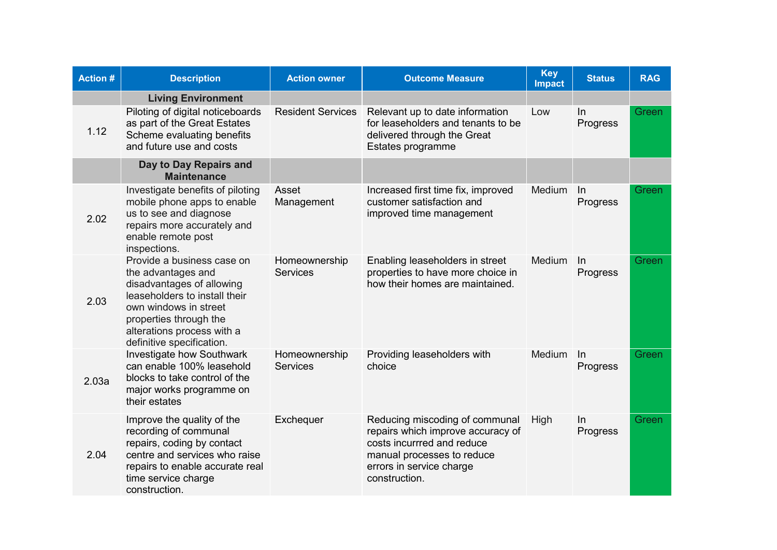| <b>Action #</b> | <b>Description</b>                                                                                                                                                                                                           | <b>Action owner</b>              | <b>Outcome Measure</b>                                                                                                                                                       | <b>Key</b><br><b>Impact</b> | <b>Status</b>     | <b>RAG</b> |
|-----------------|------------------------------------------------------------------------------------------------------------------------------------------------------------------------------------------------------------------------------|----------------------------------|------------------------------------------------------------------------------------------------------------------------------------------------------------------------------|-----------------------------|-------------------|------------|
|                 | <b>Living Environment</b>                                                                                                                                                                                                    |                                  |                                                                                                                                                                              |                             |                   |            |
| 1.12            | Piloting of digital noticeboards<br>as part of the Great Estates<br>Scheme evaluating benefits<br>and future use and costs                                                                                                   | <b>Resident Services</b>         | Relevant up to date information<br>for leaseholders and tenants to be<br>delivered through the Great<br>Estates programme                                                    | Low                         | In<br>Progress    | Green      |
|                 | Day to Day Repairs and<br><b>Maintenance</b>                                                                                                                                                                                 |                                  |                                                                                                                                                                              |                             |                   |            |
| 2.02            | Investigate benefits of piloting<br>mobile phone apps to enable<br>us to see and diagnose<br>repairs more accurately and<br>enable remote post<br>inspections.                                                               | Asset<br>Management              | Increased first time fix, improved<br>customer satisfaction and<br>improved time management                                                                                  | Medium                      | $\ln$<br>Progress | Green      |
| 2.03            | Provide a business case on<br>the advantages and<br>disadvantages of allowing<br>leaseholders to install their<br>own windows in street<br>properties through the<br>alterations process with a<br>definitive specification. | Homeownership<br><b>Services</b> | Enabling leaseholders in street<br>properties to have more choice in<br>how their homes are maintained.                                                                      | Medium                      | In<br>Progress    | Green      |
| 2.03a           | <b>Investigate how Southwark</b><br>can enable 100% leasehold<br>blocks to take control of the<br>major works programme on<br>their estates                                                                                  | Homeownership<br><b>Services</b> | Providing leaseholders with<br>choice                                                                                                                                        | Medium                      | $\ln$<br>Progress | Green      |
| 2.04            | Improve the quality of the<br>recording of communal<br>repairs, coding by contact<br>centre and services who raise<br>repairs to enable accurate real<br>time service charge<br>construction.                                | Exchequer                        | Reducing miscoding of communal<br>repairs which improve accuracy of<br>costs incurrred and reduce<br>manual processes to reduce<br>errors in service charge<br>construction. | High                        | In<br>Progress    | Green      |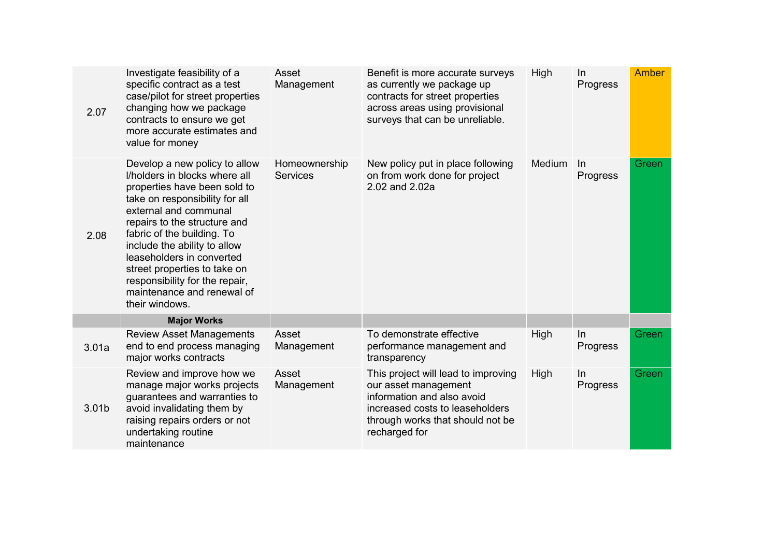| 2.07  | Investigate feasibility of a<br>specific contract as a test<br>case/pilot for street properties<br>changing how we package<br>contracts to ensure we get<br>more accurate estimates and<br>value for money                                                                                                                                                                                             | Asset<br>Management              | Benefit is more accurate surveys<br>as currently we package up<br>contracts for street properties<br>across areas using provisional<br>surveys that can be unreliable.            | High   | In<br>Progress | <b>Amber</b> |
|-------|--------------------------------------------------------------------------------------------------------------------------------------------------------------------------------------------------------------------------------------------------------------------------------------------------------------------------------------------------------------------------------------------------------|----------------------------------|-----------------------------------------------------------------------------------------------------------------------------------------------------------------------------------|--------|----------------|--------------|
| 2.08  | Develop a new policy to allow<br>I/holders in blocks where all<br>properties have been sold to<br>take on responsibility for all<br>external and communal<br>repairs to the structure and<br>fabric of the building. To<br>include the ability to allow<br>leaseholders in converted<br>street properties to take on<br>responsibility for the repair,<br>maintenance and renewal of<br>their windows. | Homeownership<br><b>Services</b> | New policy put in place following<br>on from work done for project<br>2.02 and 2.02a                                                                                              | Medium | In<br>Progress | Green        |
|       | <b>Major Works</b>                                                                                                                                                                                                                                                                                                                                                                                     |                                  |                                                                                                                                                                                   |        |                |              |
| 3.01a | <b>Review Asset Managements</b><br>end to end process managing<br>major works contracts                                                                                                                                                                                                                                                                                                                | Asset<br>Management              | To demonstrate effective<br>performance management and<br>transparency                                                                                                            | High   | In<br>Progress | Green        |
| 3.01b | Review and improve how we<br>manage major works projects<br>guarantees and warranties to<br>avoid invalidating them by<br>raising repairs orders or not<br>undertaking routine<br>maintenance                                                                                                                                                                                                          | Asset<br>Management              | This project will lead to improving<br>our asset management<br>information and also avoid<br>increased costs to leaseholders<br>through works that should not be<br>recharged for | High   | In<br>Progress | Green        |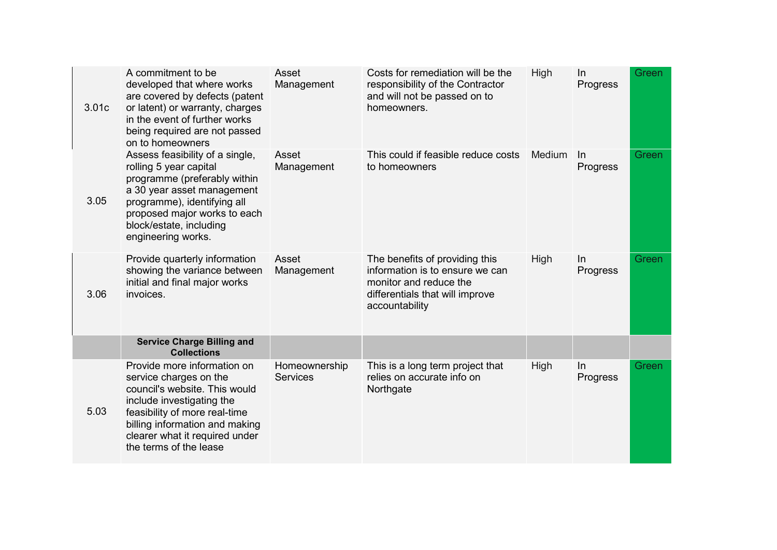| 3.01c | A commitment to be<br>developed that where works<br>are covered by defects (patent<br>or latent) or warranty, charges<br>in the event of further works<br>being required are not passed<br>on to homeowners                                        | Asset<br>Management              | Costs for remediation will be the<br>responsibility of the Contractor<br>and will not be passed on to<br>homeowners.                             | High        | In<br>Progress | Green |
|-------|----------------------------------------------------------------------------------------------------------------------------------------------------------------------------------------------------------------------------------------------------|----------------------------------|--------------------------------------------------------------------------------------------------------------------------------------------------|-------------|----------------|-------|
| 3.05  | Assess feasibility of a single,<br>rolling 5 year capital<br>programme (preferably within<br>a 30 year asset management<br>programme), identifying all<br>proposed major works to each<br>block/estate, including<br>engineering works.            | Asset<br>Management              | This could if feasible reduce costs<br>to homeowners                                                                                             | Medium      | ln<br>Progress | Green |
| 3.06  | Provide quarterly information<br>showing the variance between<br>initial and final major works<br>invoices.                                                                                                                                        | Asset<br>Management              | The benefits of providing this<br>information is to ensure we can<br>monitor and reduce the<br>differentials that will improve<br>accountability | <b>High</b> | In<br>Progress | Green |
|       | <b>Service Charge Billing and</b><br><b>Collections</b>                                                                                                                                                                                            |                                  |                                                                                                                                                  |             |                |       |
| 5.03  | Provide more information on<br>service charges on the<br>council's website. This would<br>include investigating the<br>feasibility of more real-time<br>billing information and making<br>clearer what it required under<br>the terms of the lease | Homeownership<br><b>Services</b> | This is a long term project that<br>relies on accurate info on<br>Northgate                                                                      | High        | In<br>Progress | Green |